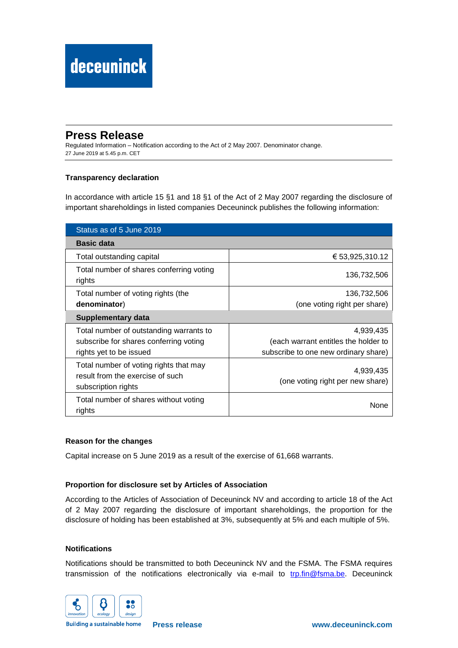## **Press Release**

Regulated Information – Notification according to the Act of 2 May 2007. Denominator change. 27 June 2019 at 5.45 p.m. CET

### **Transparency declaration**

In accordance with article 15 §1 and 18 §1 of the Act of 2 May 2007 regarding the disclosure of important shareholdings in listed companies Deceuninck publishes the following information:

| Status as of 5 June 2019                                                                          |                                               |
|---------------------------------------------------------------------------------------------------|-----------------------------------------------|
| <b>Basic data</b>                                                                                 |                                               |
| Total outstanding capital                                                                         | € 53,925,310.12                               |
| Total number of shares conferring voting<br>rights                                                | 136,732,506                                   |
| Total number of voting rights (the                                                                | 136,732,506                                   |
| denominator)                                                                                      | (one voting right per share)                  |
| Supplementary data                                                                                |                                               |
| Total number of outstanding warrants to                                                           | 4,939,435                                     |
| subscribe for shares conferring voting                                                            | (each warrant entitles the holder to          |
| rights yet to be issued                                                                           | subscribe to one new ordinary share)          |
| Total number of voting rights that may<br>result from the exercise of such<br>subscription rights | 4,939,435<br>(one voting right per new share) |
| Total number of shares without voting<br>rights                                                   | None                                          |

#### **Reason for the changes**

Capital increase on 5 June 2019 as a result of the exercise of 61,668 warrants.

#### **Proportion for disclosure set by Articles of Association**

According to the Articles of Association of Deceuninck NV and according to article 18 of the Act of 2 May 2007 regarding the disclosure of important shareholdings, the proportion for the disclosure of holding has been established at 3%, subsequently at 5% and each multiple of 5%.

#### **Notifications**

Notifications should be transmitted to both Deceuninck NV and the FSMA. The FSMA requires transmission of the notifications electronically via e-mail to [trp.fin@fsma.be.](mailto:trp.fin@fsma.be) Deceuninck



**Building a sustainable home**